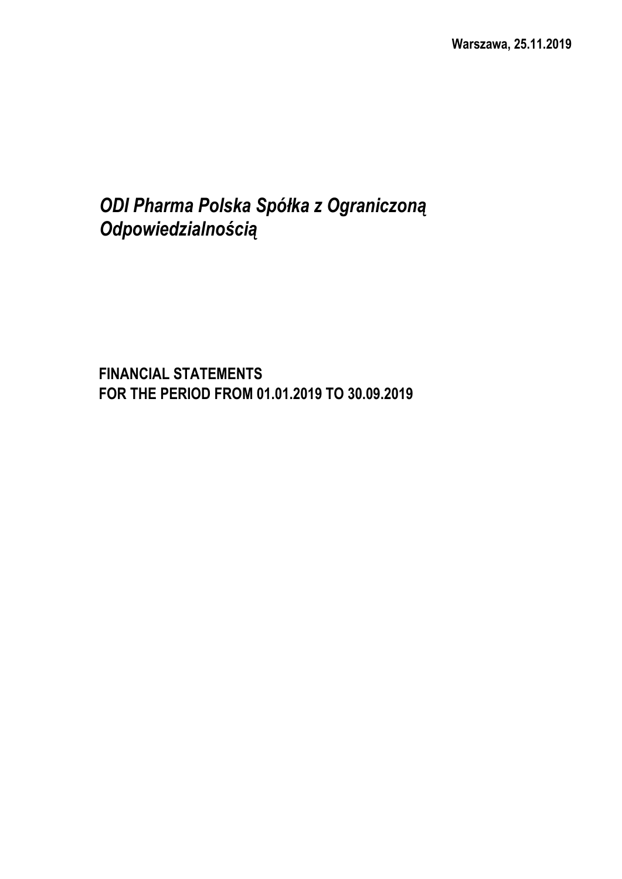# *ODI Pharma Polska Spółka z Ograniczoną Odpowiedzialnością*

**FINANCIAL STATEMENTS FOR THE PERIOD FROM 01.01.2019 TO 30.09.2019**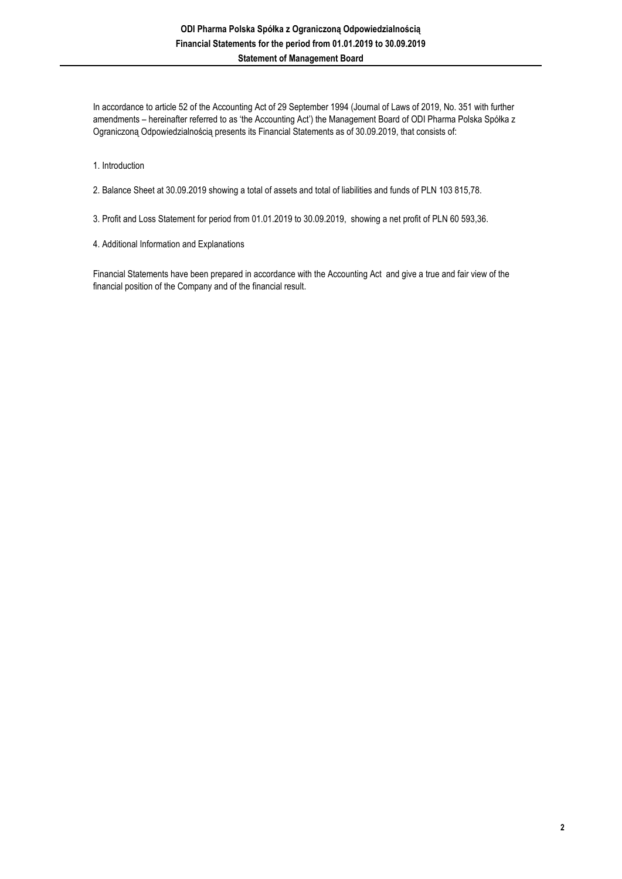In accordance to article 52 of the Accounting Act of 29 September 1994 (Journal of Laws of 2019, No. 351 with further amendments – hereinafter referred to as 'the Accounting Act') the Management Board of ODI Pharma Polska Spółka z Ograniczoną Odpowiedzialnością presents its Financial Statements as of 30.09.2019, that consists of:

- 1. Introduction
- 2. Balance Sheet at 30.09.2019 showing a total of assets and total of liabilities and funds of PLN 103 815,78.
- 3. Profit and Loss Statement for period from 01.01.2019 to 30.09.2019, showing a net profit of PLN 60 593,36.
- 4. Additional Information and Explanations

Financial Statements have been prepared in accordance with the Accounting Act and give a true and fair view of the financial position of the Company and of the financial result.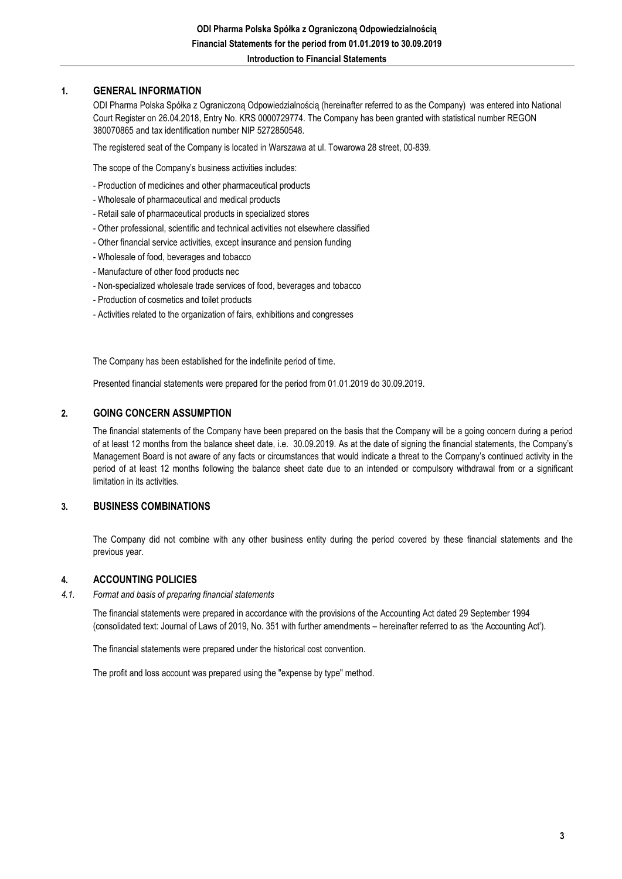#### **1. GENERAL INFORMATION**

ODI Pharma Polska Spółka z Ograniczoną Odpowiedzialnością (hereinafter referred to as the Company) was entered into National Court Register on 26.04.2018, Entry No. KRS 0000729774. The Company has been granted with statistical number REGON 380070865 and tax identification number NIP 5272850548.

The registered seat of the Company is located in Warszawa at ul. Towarowa 28 street, 00-839.

The scope of the Company's business activities includes:

- Production of medicines and other pharmaceutical products
- Wholesale of pharmaceutical and medical products
- Retail sale of pharmaceutical products in specialized stores
- Other professional, scientific and technical activities not elsewhere classified
- Other financial service activities, except insurance and pension funding
- Wholesale of food, beverages and tobacco
- Manufacture of other food products nec
- Non-specialized wholesale trade services of food, beverages and tobacco
- Production of cosmetics and toilet products
- Activities related to the organization of fairs, exhibitions and congresses

The Company has been established for the indefinite period of time.

Presented financial statements were prepared for the period from 01.01.2019 do 30.09.2019.

#### **2. GOING CONCERN ASSUMPTION**

The financial statements of the Company have been prepared on the basis that the Company will be a going concern during a period of at least 12 months from the balance sheet date, i.e. 30.09.2019. As at the date of signing the financial statements, the Company's Management Board is not aware of any facts or circumstances that would indicate a threat to the Company's continued activity in the period of at least 12 months following the balance sheet date due to an intended or compulsory withdrawal from or a significant limitation in its activities.

#### **3. BUSINESS COMBINATIONS**

The Company did not combine with any other business entity during the period covered by these financial statements and the previous year.

#### **4. ACCOUNTING POLICIES**

*4.1. Format and basis of preparing financial statements*

> The financial statements were prepared in accordance with the provisions of the Accounting Act dated 29 September 1994 (consolidated text: Journal of Laws of 2019, No. 351 with further amendments – hereinafter referred to as 'the Accounting Act').

The financial statements were prepared under the historical cost convention.

The profit and loss account was prepared using the "expense by type" method.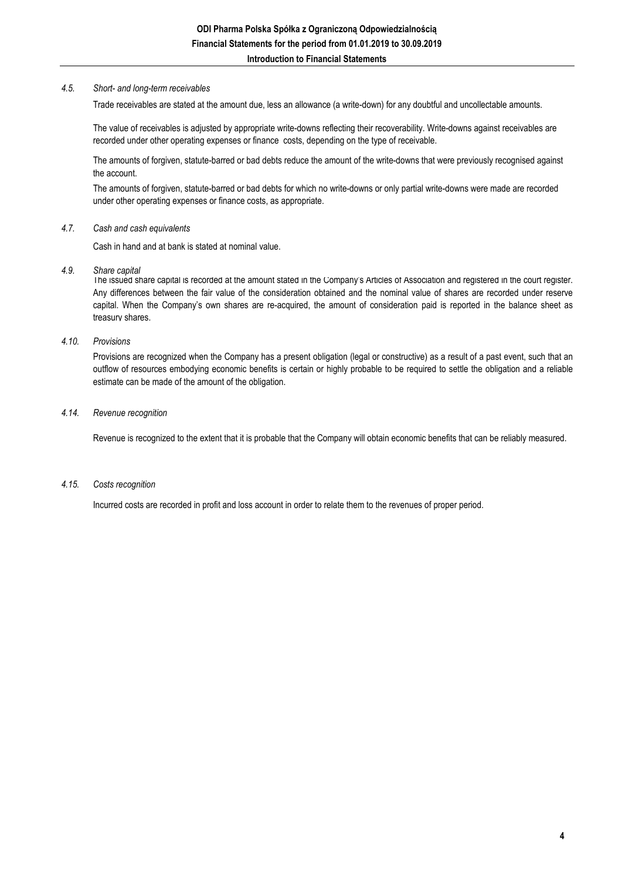#### *4.5. Short- and long-term receivables*

Trade receivables are stated at the amount due, less an allowance (a write-down) for any doubtful and uncollectable amounts.

The value of receivables is adjusted by appropriate write-downs reflecting their recoverability. Write-downs against receivables are recorded under other operating expenses or finance costs, depending on the type of receivable.

The amounts of forgiven, statute-barred or bad debts reduce the amount of the write-downs that were previously recognised against the account.

The amounts of forgiven, statute-barred or bad debts for which no write-downs or only partial write-downs were made are recorded under other operating expenses or finance costs, as appropriate.

#### *4.7. Cash and cash equivalents*

Cash in hand and at bank is stated at nominal value.

*4.9. Share capital*

The issued share capital is recorded at the amount stated in the Company's Articles of Association and registered in the court register. Any differences between the fair value of the consideration obtained and the nominal value of shares are recorded under reserve capital. When the Company's own shares are re-acquired, the amount of consideration paid is reported in the balance sheet as treasury shares.

#### *4.10. Provisions*

Provisions are recognized when the Company has a present obligation (legal or constructive) as a result of a past event, such that an outflow of resources embodying economic benefits is certain or highly probable to be required to settle the obligation and a reliable estimate can be made of the amount of the obligation.

#### *4.14. Revenue recognition*

Revenue is recognized to the extent that it is probable that the Company will obtain economic benefits that can be reliably measured.

#### *4.15. Costs recognition*

Incurred costs are recorded in profit and loss account in order to relate them to the revenues of proper period.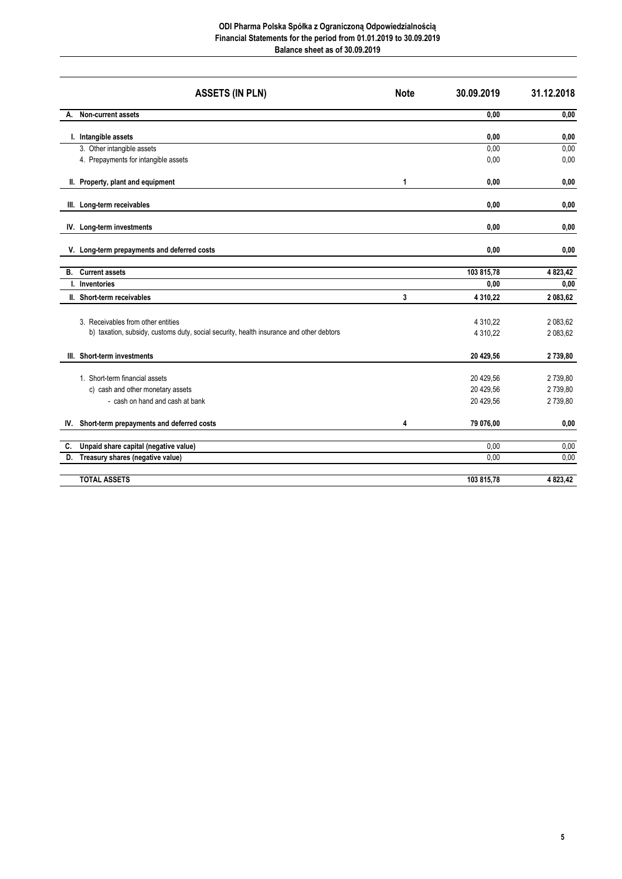#### **ODI Pharma Polska Spółka z Ograniczoną Odpowiedzialnością Financial Statements for the period from 01.01.2019 to 30.09.2019 Balance sheet as of 30.09.2019**

|    | <b>ASSETS (IN PLN)</b>                                                                                                        | <b>Note</b> | 30.09.2019                          | 31.12.2018                    |
|----|-------------------------------------------------------------------------------------------------------------------------------|-------------|-------------------------------------|-------------------------------|
| А. | Non-current assets                                                                                                            |             | 0,00                                | 0,00                          |
|    | I. Intangible assets                                                                                                          |             | 0,00                                | 0,00                          |
|    | 3. Other intangible assets                                                                                                    |             | 0,00                                | 0,00                          |
|    | 4. Prepayments for intangible assets                                                                                          |             | 0,00                                | 0,00                          |
|    | II. Property, plant and equipment                                                                                             | 1           | 0,00                                | 0,00                          |
|    | III. Long-term receivables                                                                                                    |             | 0,00                                | 0,00                          |
|    | IV. Long-term investments                                                                                                     |             | 0,00                                | 0,00                          |
|    | V. Long-term prepayments and deferred costs                                                                                   |             | 0,00                                | 0,00                          |
|    | <b>B.</b> Current assets                                                                                                      |             | 103 815,78                          | 4 823,42                      |
|    | I. Inventories                                                                                                                |             | 0,00                                | 0,00                          |
|    | II. Short-term receivables                                                                                                    | 3           | 4 3 1 0, 2 2                        | 2 083,62                      |
|    | 3. Receivables from other entities<br>b) taxation, subsidy, customs duty, social security, health insurance and other debtors |             | 4 3 1 0 , 2 2<br>4 3 1 0 , 2 2      | 2 083,62<br>2 083,62          |
|    | III. Short-term investments                                                                                                   |             | 20 429,56                           | 2739,80                       |
|    | 1. Short-term financial assets<br>c) cash and other monetary assets<br>- cash on hand and cash at bank                        |             | 20 429,56<br>20 429,56<br>20 429,56 | 2739,80<br>2739,80<br>2739,80 |
|    | IV. Short-term prepayments and deferred costs                                                                                 | 4           | 79 076,00                           | 0,00                          |
| C. | Unpaid share capital (negative value)                                                                                         |             | 0,00                                | 0,00                          |
| D. | Treasury shares (negative value)                                                                                              |             | 0.00                                | 0.00                          |
|    | <b>TOTAL ASSETS</b>                                                                                                           |             | 103 815,78                          | 4 823,42                      |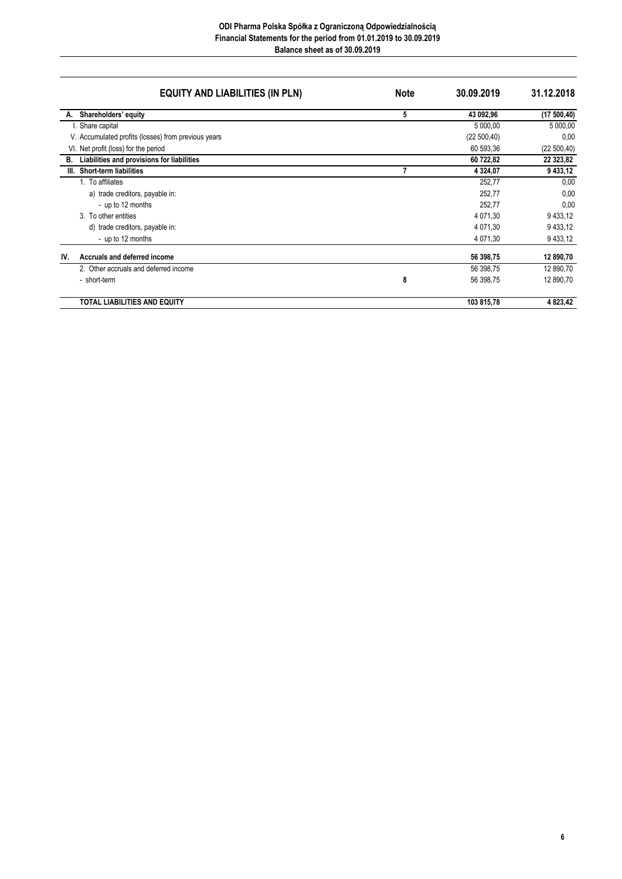#### **ODI Pharma Polska Spółka z Ograniczoną Odpowiedzialnością Financial Statements for the period from 01.01.2019 to 30.09.2019 Balance sheet as of 30.09.2019**

|     | <b>EQUITY AND LIABILITIES (IN PLN)</b>              | <b>Note</b> | 30.09.2019   | 31.12.2018   |
|-----|-----------------------------------------------------|-------------|--------------|--------------|
| А.  | Shareholders' equity                                | 5           | 43 092,96    | (17500, 40)  |
|     | Share capital                                       |             | 5 000,00     | 5 000,00     |
|     | V. Accumulated profits (losses) from previous years |             | (22 500, 40) | 0,00         |
|     | VI. Net profit (loss) for the period                |             | 60 593,36    | (22 500, 40) |
| В.  | Liabilities and provisions for liabilities          |             | 60 722,82    | 22 323,82    |
|     | III. Short-term liabilities                         |             | 4 3 24 , 07  | 9 433,12     |
|     | 1. To affiliates                                    |             | 252,77       | 0,00         |
|     | a) trade creditors, payable in:                     |             | 252,77       | 0,00         |
|     | - up to 12 months                                   |             | 252,77       | 0,00         |
|     | 3. To other entities                                |             | 4 071,30     | 9 433,12     |
|     | d) trade creditors, payable in:                     |             | 4 071.30     | 9 433,12     |
|     | - up to 12 months                                   |             | 4 071,30     | 9 433,12     |
| IV. | Accruals and deferred income                        |             | 56 398,75    | 12 890,70    |
|     | 2. Other accruals and deferred income               |             | 56 398,75    | 12 890,70    |
|     | - short-term                                        | 8           | 56 398,75    | 12 890,70    |
|     | <b>TOTAL LIABILITIES AND EQUITY</b>                 |             | 103 815,78   | 4 823,42     |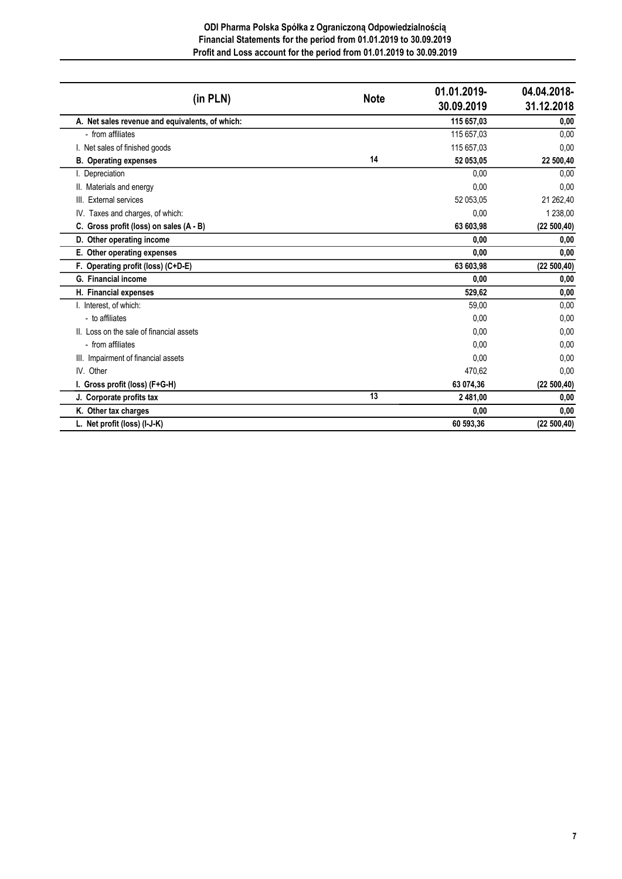#### **ODI Pharma Polska Spółka z Ograniczoną Odpowiedzialnością Financial Statements for the period from 01.01.2019 to 30.09.2019 Profit and Loss account for the period from 01.01.2019 to 30.09.2019**

| (in PLN)                                        | <b>Note</b> | 01.01.2019-<br>30.09.2019 | 04.04.2018-<br>31.12.2018 |
|-------------------------------------------------|-------------|---------------------------|---------------------------|
| A. Net sales revenue and equivalents, of which: |             | 115 657,03                | 0,00                      |
| - from affiliates                               |             | 115 657,03                | 0,00                      |
| I. Net sales of finished goods                  |             | 115 657,03                | 0,00                      |
| <b>B.</b> Operating expenses                    | 14          | 52 053,05                 | 22 500,40                 |
| I. Depreciation                                 |             | 0.00                      | 0,00                      |
| II. Materials and energy                        |             | 0.00                      | 0.00                      |
| III. External services                          |             | 52 053,05                 | 21 262,40                 |
| IV. Taxes and charges, of which:                |             | 0,00                      | 1 238,00                  |
| C. Gross profit (loss) on sales (A - B)         |             | 63 603,98                 | (22 500, 40)              |
| D. Other operating income                       |             | 0,00                      | 0,00                      |
| E. Other operating expenses                     |             | 0.00                      | 0,00                      |
| F. Operating profit (loss) (C+D-E)              |             | 63 603,98                 | (22 500, 40)              |
| G. Financial income                             |             | 0,00                      | 0,00                      |
| H. Financial expenses                           |             | 529,62                    | 0,00                      |
| I. Interest, of which:                          |             | 59.00                     | 0,00                      |
| - to affiliates                                 |             | 0,00                      | 0,00                      |
| II. Loss on the sale of financial assets        |             | 0.00                      | 0,00                      |
| - from affiliates                               |             | 0.00                      | 0,00                      |
| III. Impairment of financial assets             |             | 0.00                      | 0,00                      |
| IV. Other                                       |             | 470.62                    | 0,00                      |
| I. Gross profit (loss) (F+G-H)                  |             | 63 074,36                 | (22 500, 40)              |
| J. Corporate profits tax                        | 13          | 2 481,00                  | 0,00                      |
| K. Other tax charges                            |             | 0,00                      | 0,00                      |
| L. Net profit (loss) (I-J-K)                    |             | 60 593,36                 | (22 500, 40)              |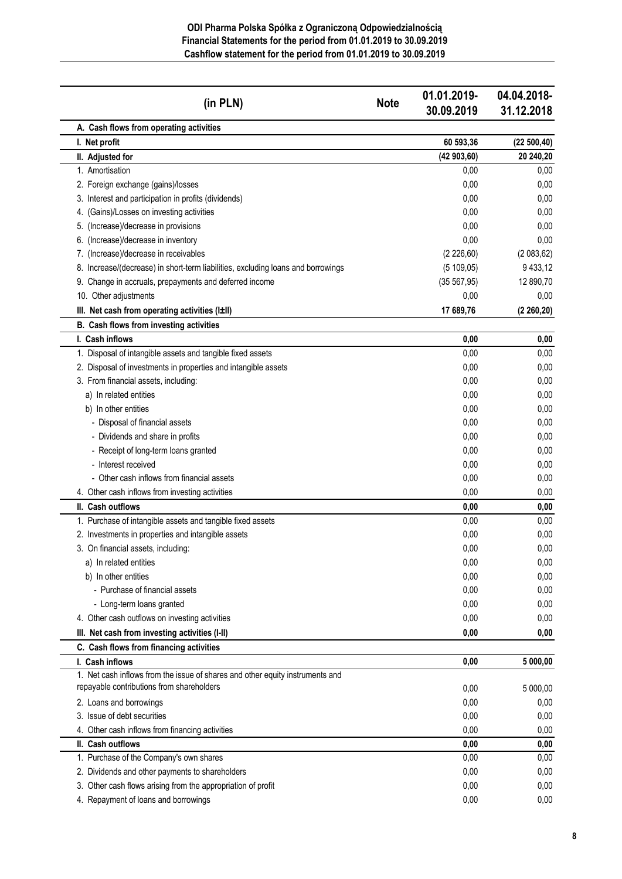**ODI Pharma Polska Spółka z Ograniczoną Odpowiedzialnością Financial Statements for the period from 01.01.2019 to 30.09.2019 Cashflow statement for the period from 01.01.2019 to 30.09.2019**

| (in PLN)                                                                                                                   | <b>Note</b> | 01.01.2019-<br>30.09.2019 | 04.04.2018-<br>31.12.2018 |
|----------------------------------------------------------------------------------------------------------------------------|-------------|---------------------------|---------------------------|
| A. Cash flows from operating activities                                                                                    |             |                           |                           |
| I. Net profit                                                                                                              |             | 60 593,36                 | (22 500, 40)              |
| II. Adjusted for                                                                                                           |             | (42903,60)                | 20 240,20                 |
| 1. Amortisation                                                                                                            |             | 0,00                      | 0,00                      |
| 2. Foreign exchange (gains)/losses                                                                                         |             | 0,00                      | 0,00                      |
| 3. Interest and participation in profits (dividends)                                                                       |             | 0,00                      | 0,00                      |
| 4. (Gains)/Losses on investing activities                                                                                  |             | 0,00                      | 0,00                      |
| 5. (Increase)/decrease in provisions                                                                                       |             | 0,00                      | 0,00                      |
| 6. (Increase)/decrease in inventory                                                                                        |             | 0,00                      | 0,00                      |
| 7. (Increase)/decrease in receivables                                                                                      |             | (2 226, 60)               | (2083, 62)                |
| 8. Increase/(decrease) in short-term liabilities, excluding loans and borrowings                                           |             | (5109,05)                 | 9 4 3 3, 1 2              |
| 9. Change in accruals, prepayments and deferred income                                                                     |             | (35 567, 95)              | 12 890,70                 |
| 10. Other adjustments                                                                                                      |             | 0,00                      | 0,00                      |
| III. Net cash from operating activities (I±II)                                                                             |             | 17 689,76                 | (2 260, 20)               |
| B. Cash flows from investing activities                                                                                    |             |                           |                           |
| I. Cash inflows                                                                                                            |             | 0,00                      | 0,00                      |
| 1. Disposal of intangible assets and tangible fixed assets                                                                 |             | 0,00                      | 0,00                      |
| 2. Disposal of investments in properties and intangible assets                                                             |             | 0,00                      | 0,00                      |
| 3. From financial assets, including:                                                                                       |             | 0,00                      | 0,00                      |
| a) In related entities                                                                                                     |             | 0.00                      | 0,00                      |
| b) In other entities                                                                                                       |             | 0,00                      | 0,00                      |
| - Disposal of financial assets                                                                                             |             | 0,00                      | 0,00                      |
| - Dividends and share in profits                                                                                           |             | 0,00                      | 0,00                      |
| - Receipt of long-term loans granted                                                                                       |             | 0,00                      | 0,00                      |
| - Interest received                                                                                                        |             | 0,00                      | 0,00                      |
| - Other cash inflows from financial assets                                                                                 |             | 0,00                      | 0,00                      |
| 4. Other cash inflows from investing activities                                                                            |             | 0,00                      | 0,00                      |
| II. Cash outflows                                                                                                          |             | 0,00                      | 0,00                      |
| 1. Purchase of intangible assets and tangible fixed assets                                                                 |             | 0,00                      | 0,00                      |
| 2. Investments in properties and intangible assets                                                                         |             | 0,00                      | 0,00                      |
| 3. On financial assets, including:                                                                                         |             | 0,00                      | 0,00                      |
| a) In related entities                                                                                                     |             | 0,00                      | 0,00                      |
| b) In other entities                                                                                                       |             | 0,00                      | 0,00                      |
| - Purchase of financial assets                                                                                             |             | 0,00                      | 0,00                      |
| - Long-term loans granted                                                                                                  |             | 0,00                      | 0,00                      |
| 4. Other cash outflows on investing activities                                                                             |             | 0,00                      | 0,00                      |
| III. Net cash from investing activities (I-II)                                                                             |             | 0,00                      | 0,00                      |
| C. Cash flows from financing activities                                                                                    |             |                           |                           |
| I. Cash inflows                                                                                                            |             | 0,00                      | 5 000,00                  |
| 1. Net cash inflows from the issue of shares and other equity instruments and<br>repayable contributions from shareholders |             | 0,00                      | 5 000,00                  |
| 2. Loans and borrowings                                                                                                    |             | 0,00                      | 0,00                      |
| 3. Issue of debt securities                                                                                                |             | 0,00                      | 0,00                      |
| 4. Other cash inflows from financing activities                                                                            |             | 0,00                      | 0,00                      |
| II. Cash outflows                                                                                                          |             | 0,00                      | 0,00                      |
| 1. Purchase of the Company's own shares                                                                                    |             | 0,00                      | 0,00                      |
| 2. Dividends and other payments to shareholders                                                                            |             | 0,00                      | 0,00                      |
| 3. Other cash flows arising from the appropriation of profit                                                               |             | 0,00                      | 0,00                      |
| 4. Repayment of loans and borrowings                                                                                       |             | 0,00                      | 0,00                      |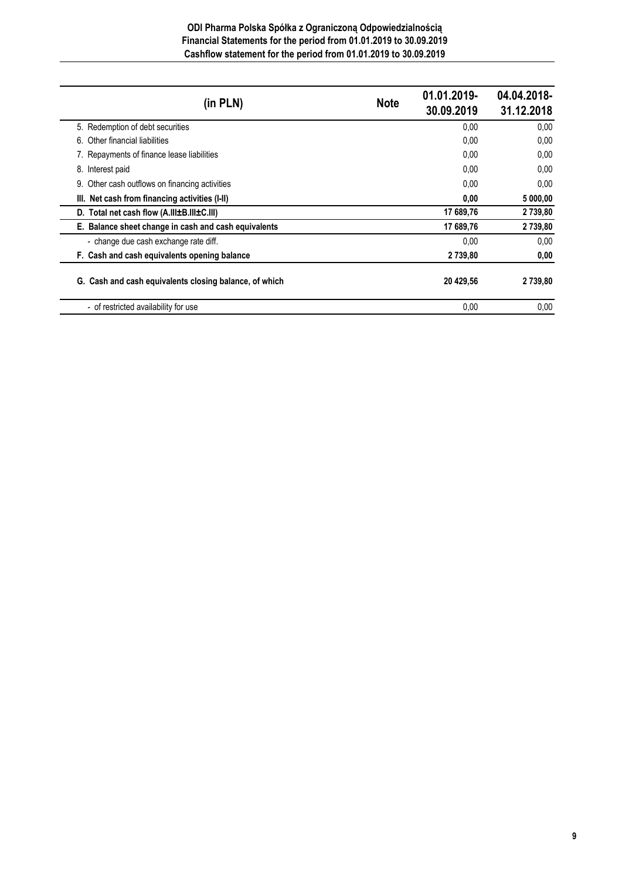#### **ODI Pharma Polska Spółka z Ograniczoną Odpowiedzialnością Financial Statements for the period from 01.01.2019 to 30.09.2019 Cashflow statement for the period from 01.01.2019 to 30.09.2019**

| (in PLN)                                               | <b>Note</b> | 01.01.2019-<br>30.09.2019 | 04.04.2018-<br>31.12.2018 |
|--------------------------------------------------------|-------------|---------------------------|---------------------------|
| 5. Redemption of debt securities                       |             | 0,00                      | 0,00                      |
| Other financial liabilities<br>6.                      |             | 0,00                      | 0,00                      |
| 7. Repayments of finance lease liabilities             |             | 0,00                      | 0,00                      |
| Interest paid<br>8.                                    |             | 0,00                      | 0.00                      |
| 9. Other cash outflows on financing activities         |             | 0.00                      | 0.00                      |
| III. Net cash from financing activities (I-II)         |             | 0,00                      | 5 000,00                  |
| D. Total net cash flow (A.III±B.III±C.III)             |             | 17 689,76                 | 2 739,80                  |
| E. Balance sheet change in cash and cash equivalents   |             | 17 689,76                 | 2 739,80                  |
| - change due cash exchange rate diff.                  |             | 0,00                      | 0,00                      |
| F. Cash and cash equivalents opening balance           |             | 2 739,80                  | 0,00                      |
| G. Cash and cash equivalents closing balance, of which |             | 20 429,56                 | 2739,80                   |
| - of restricted availability for use                   |             | 0.00                      | 0.00                      |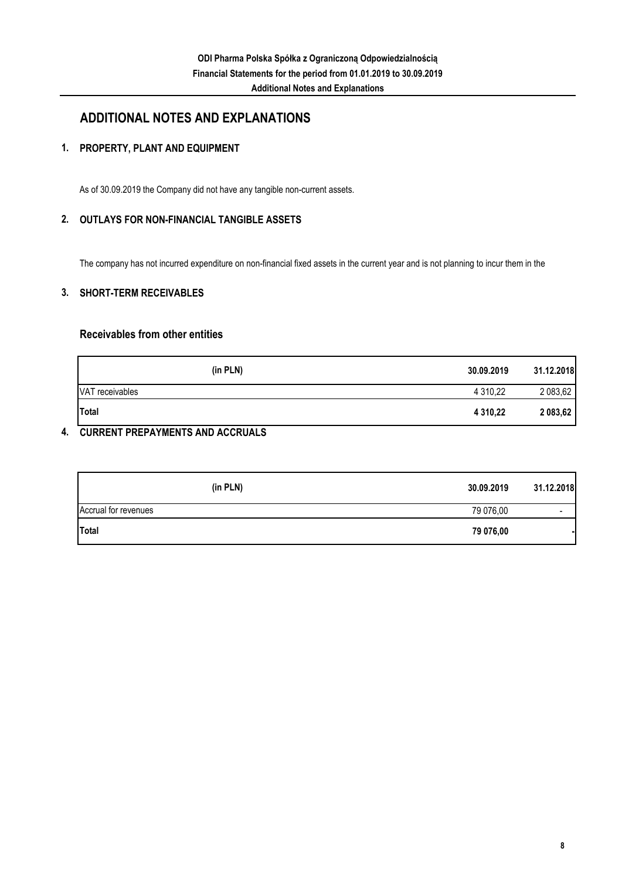## **ADDITIONAL NOTES AND EXPLANATIONS**

### **1. PROPERTY, PLANT AND EQUIPMENT**

As of 30.09.2019 the Company did not have any tangible non-current assets.

#### **2. OUTLAYS FOR NON-FINANCIAL TANGIBLE ASSETS**

The company has not incurred expenditure on non-financial fixed assets in the current year and is not planning to incur them in the

#### **3. SHORT-TERM RECEIVABLES**

### **Receivables from other entities**

| (in PLN)        | 30.09.2019   | 31.12.2018 |
|-----------------|--------------|------------|
| VAT receivables | 4 310,22     | 2 083,62   |
| Total           | 4 3 1 0, 2 2 | 2 083,62   |

#### **4. CURRENT PREPAYMENTS AND ACCRUALS**

|                      | (in PLN) | 30.09.2019 | 31.12.2018               |
|----------------------|----------|------------|--------------------------|
| Accrual for revenues |          | 79 076,00  | $\overline{\phantom{0}}$ |
| Total                |          | 79 076,00  |                          |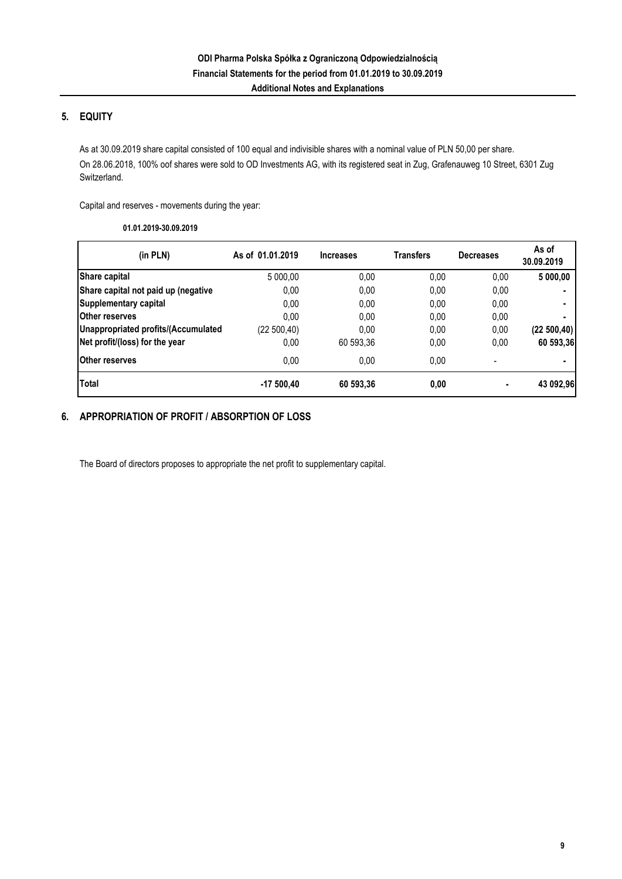### **5. EQUITY**

As at 30.09.2019 share capital consisted of 100 equal and indivisible shares with a nominal value of PLN 50,00 per share. On 28.06.2018, 100% oof shares were sold to OD Investments AG, with its registered seat in Zug, Grafenauweg 10 Street, 6301 Zug Switzerland.

Capital and reserves - movements during the year:

**01.01.2019-30.09.2019**

| (in PLN)                            | As of 01.01.2019 | <b>Increases</b> | <b>Transfers</b> | <b>Decreases</b>         | As of<br>30.09.2019 |
|-------------------------------------|------------------|------------------|------------------|--------------------------|---------------------|
| Share capital                       | 5 000,00         | 0,00             | 0.00             | 0,00                     | 5 000,00            |
| Share capital not paid up (negative | 0,00             | 0,00             | 0.00             | 0,00                     |                     |
| Supplementary capital               | 0,00             | 0,00             | 0.00             | 0,00                     |                     |
| <b>Other reserves</b>               | 0.00             | 0,00             | 0.00             | 0,00                     |                     |
| Unappropriated profits/(Accumulated | (22 500,40)      | 0,00             | 0,00             | 0,00                     | (22 500, 40)        |
| Net profit/(loss) for the year      | 0,00             | 60 593,36        | 0,00             | 0,00                     | 60 593,36           |
| <b>Other reserves</b>               | 0.00             | 0,00             | 0.00             | $\overline{\phantom{a}}$ |                     |
| <b>Total</b>                        | $-17500,40$      | 60 593,36        | 0,00             | $\blacksquare$           | 43 092,96           |

#### **6. APPROPRIATION OF PROFIT / ABSORPTION OF LOSS**

The Board of directors proposes to appropriate the net profit to supplementary capital.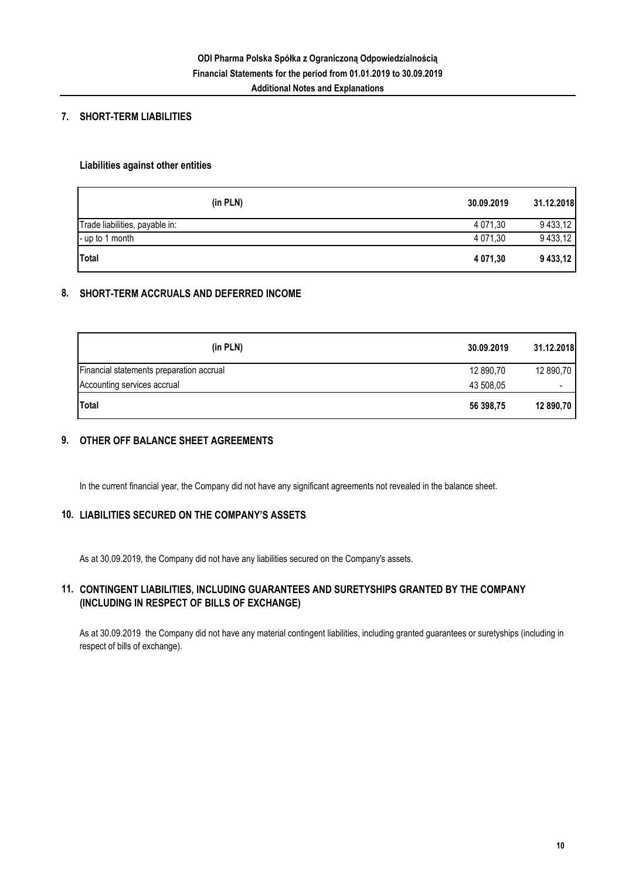#### **7. SHORT-TERM LIABILITIES**

#### **Liabilities against other entities**

| (in PLN)                       | 30.09.2019 | 31.12.2018 |
|--------------------------------|------------|------------|
| Trade liabilities, payable in: | 4 071.30   | 9 433,12   |
| - up to 1 month                | 4 071.30   | 9 433,12   |
| <b>Total</b>                   | 4 071.30   | 9433,12    |

#### **8. SHORT-TERM ACCRUALS AND DEFERRED INCOME**

| (in PLN)                                 | 30.09.2019 | 31.12.2018               |
|------------------------------------------|------------|--------------------------|
| Financial statements preparation accrual | 12 890,70  | 12 890,70                |
| Accounting services accrual              | 43 508.05  | $\overline{\phantom{0}}$ |
| <b>Total</b>                             | 56 398,75  | 12 890,70                |

#### **9. OTHER OFF BALANCE SHEET AGREEMENTS**

In the current financial year, the Company did not have any significant agreements not revealed in the balance sheet.

#### **10. LIABILITIES SECURED ON THE COMPANY'S ASSETS**

As at 30.09.2019, the Company did not have any liabilities secured on the Company's assets.

#### **11. CONTINGENT LIABILITIES, INCLUDING GUARANTEES AND SURETYSHIPS GRANTED BY THE COMPANY (INCLUDING IN RESPECT OF BILLS OF EXCHANGE)**

As at 30.09.2019 the Company did not have any material contingent liabilities, including granted guarantees or suretyships (including in respect of bills of exchange).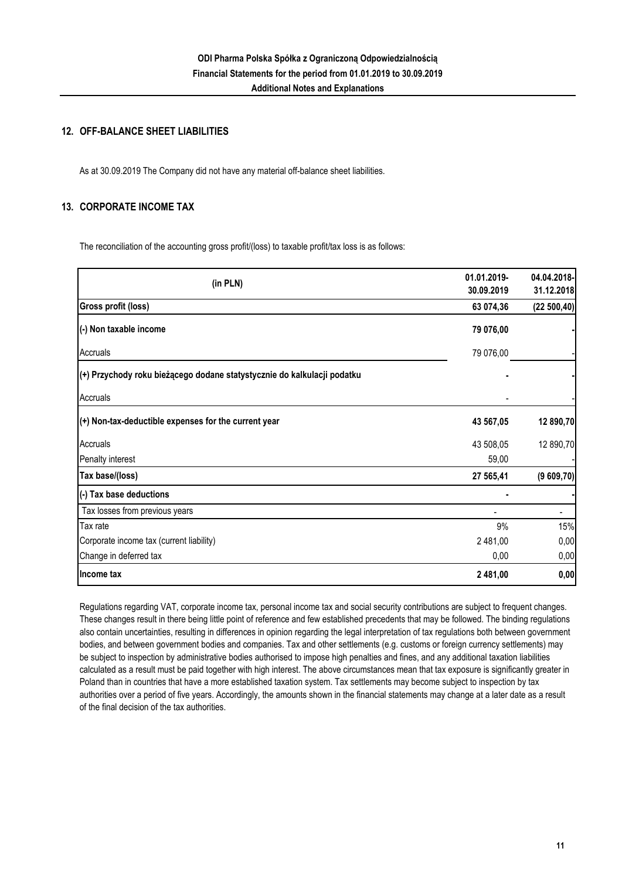#### **12. OFF-BALANCE SHEET LIABILITIES**

As at 30.09.2019 The Company did not have any material off-balance sheet liabilities.

#### **13. CORPORATE INCOME TAX**

The reconciliation of the accounting gross profit/(loss) to taxable profit/tax loss is as follows:

|                                                                         | 01.01.2019- | 04.04.2018-  |
|-------------------------------------------------------------------------|-------------|--------------|
| (in PLN)                                                                | 30.09.2019  | 31.12.2018   |
| <b>Gross profit (loss)</b>                                              | 63 074,36   | (22 500, 40) |
| (-) Non taxable income                                                  | 79 076,00   |              |
| Accruals                                                                | 79 076,00   |              |
| (+) Przychody roku bieżącego dodane statystycznie do kalkulacji podatku |             |              |
| Accruals                                                                |             |              |
| (+) Non-tax-deductible expenses for the current year                    | 43 567,05   | 12 890,70    |
| Accruals                                                                | 43 508,05   | 12 890,70    |
| Penalty interest                                                        | 59,00       |              |
| Tax base/(loss)                                                         | 27 565,41   | (9609,70)    |
| (-) Tax base deductions                                                 |             |              |
| Tax losses from previous years                                          |             |              |
| Tax rate                                                                | 9%          | 15%          |
| Corporate income tax (current liability)                                | 2 481,00    | 0,00         |
| Change in deferred tax                                                  | 0,00        | 0,00         |
| Income tax                                                              | 2 481,00    | 0,00         |

Regulations regarding VAT, corporate income tax, personal income tax and social security contributions are subject to frequent changes. These changes result in there being little point of reference and few established precedents that may be followed. The binding regulations also contain uncertainties, resulting in differences in opinion regarding the legal interpretation of tax regulations both between government bodies, and between government bodies and companies. Tax and other settlements (e.g. customs or foreign currency settlements) may be subject to inspection by administrative bodies authorised to impose high penalties and fines, and any additional taxation liabilities calculated as a result must be paid together with high interest. The above circumstances mean that tax exposure is significantly greater in Poland than in countries that have a more established taxation system. Tax settlements may become subject to inspection by tax authorities over a period of five years. Accordingly, the amounts shown in the financial statements may change at a later date as a result of the final decision of the tax authorities.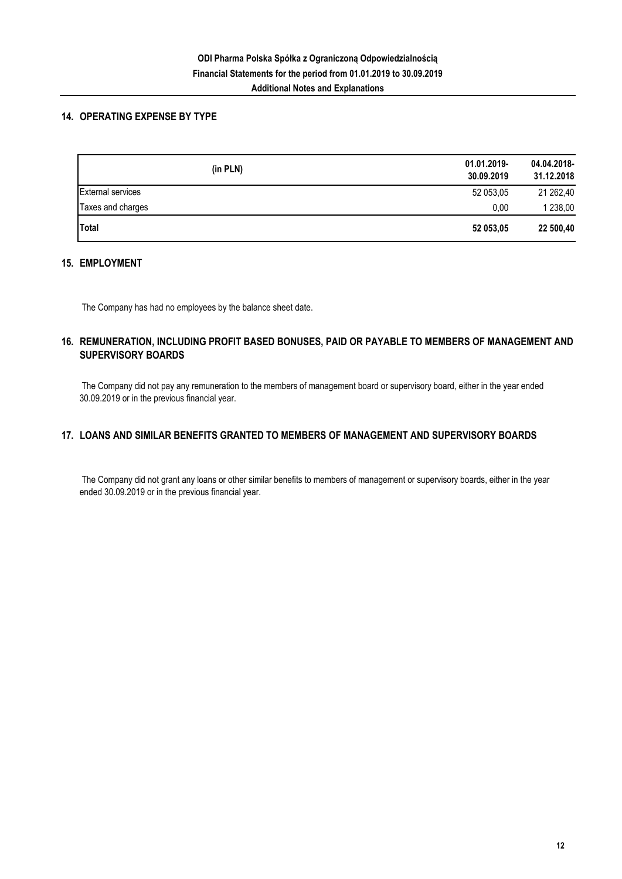#### **14. OPERATING EXPENSE BY TYPE**

| (in PLN)                 | 01.01.2019-<br>30.09.2019 | 04.04.2018-<br>31.12.2018 |
|--------------------------|---------------------------|---------------------------|
| <b>External services</b> | 52 053,05                 | 21 262,40                 |
| Taxes and charges        | 0.00                      | 1 238,00                  |
| <b>Total</b>             | 52 053,05                 | 22 500,40                 |

#### **15. EMPLOYMENT**

The Company has had no employees by the balance sheet date.

### **16. REMUNERATION, INCLUDING PROFIT BASED BONUSES, PAID OR PAYABLE TO MEMBERS OF MANAGEMENT AND SUPERVISORY BOARDS**

 The Company did not pay any remuneration to the members of management board or supervisory board, either in the year ended 30.09.2019 or in the previous financial year.

### **17. LOANS AND SIMILAR BENEFITS GRANTED TO MEMBERS OF MANAGEMENT AND SUPERVISORY BOARDS**

 The Company did not grant any loans or other similar benefits to members of management or supervisory boards, either in the year ended 30.09.2019 or in the previous financial year.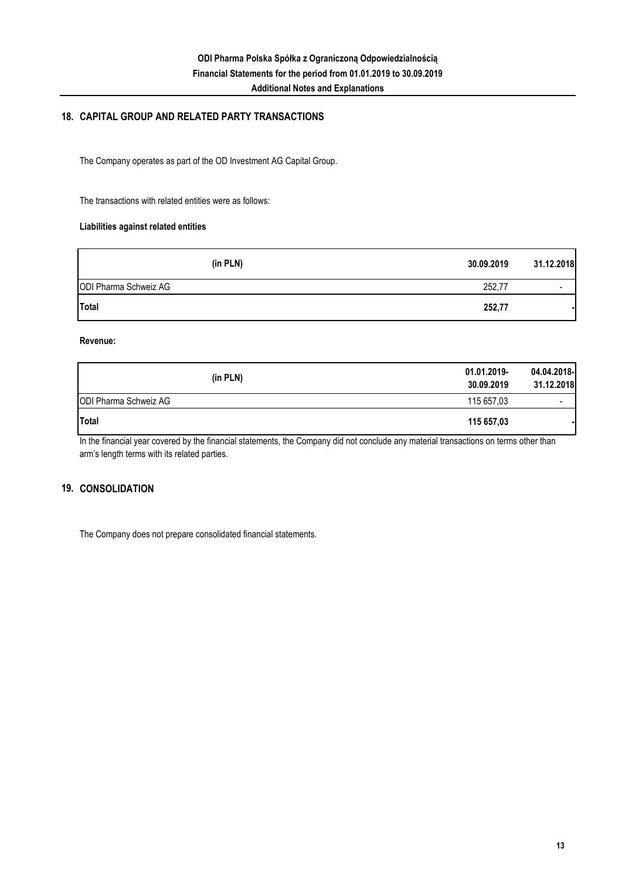#### **Additional Notes and Explanations**

#### **18. CAPITAL GROUP AND RELATED PARTY TRANSACTIONS**

The Company operates as part of the OD Investment AG Capital Group.

The transactions with related entities were as follows:

#### **Liabilities against related entities**

| (in PLN)              | 30.09.2019 | 31.12.2018               |
|-----------------------|------------|--------------------------|
| ODI Pharma Schweiz AG | 252,77     | $\overline{\phantom{a}}$ |
| Total                 | 252,77     |                          |

#### **Revenue:**

| (in PLN)                     | 01.01.2019-<br>30.09.2019 | 04.04.2018-<br>31.12.2018 |
|------------------------------|---------------------------|---------------------------|
| <b>ODI Pharma Schweiz AG</b> | 115 657.03                | $\overline{\phantom{a}}$  |
| <b>Total</b>                 | 115 657,03                |                           |

In the financial year covered by the financial statements, the Company did not conclude any material transactions on terms other than arm's length terms with its related parties.

#### **19. CONSOLIDATION**

The Company does not prepare consolidated financial statements.